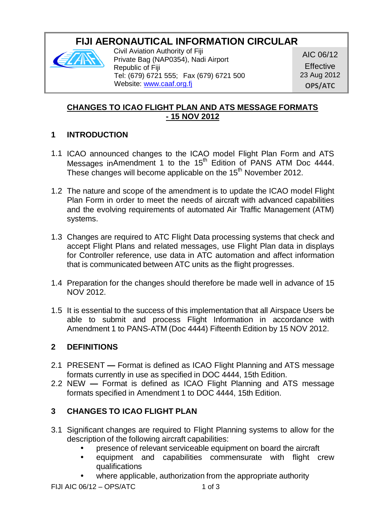# **FIJI AERONAUTICAL INFORMATION CIRCULAR**



Civil Aviation Authority of Fiji Private Bag (NAP0354), Nadi Airport Republic of Fiji Tel: (679) 6721 555; Fax (679) 6721 500 Website: [www.caaf.org.fj](http://www.caaf.org.fj/)

AIC 06/12

**Effective** 23 Aug 2012 **OPS/ATC**

## **CHANGES TO ICAO FLIGHT PLAN AND ATS MESSAGE FORMATS - 15 NOV 2012**

## **1 INTRODUCTION**

- 1.1 ICAO announced changes to the ICAO model Flight Plan Form and ATS Messages inAmendment 1 to the 15<sup>th</sup> Edition of PANS ATM Doc 4444. These changes will become applicable on the 15<sup>th</sup> November 2012.
- 1.2 The nature and scope of the amendment is to update the ICAO model Flight Plan Form in order to meet the needs of aircraft with advanced capabilities and the evolving requirements of automated Air Traffic Management (ATM) systems.
- 1.3 Changes are required to ATC Flight Data processing systems that check and accept Flight Plans and related messages, use Flight Plan data in displays for Controller reference, use data in ATC automation and affect information that is communicated between ATC units as the flight progresses.
- 1.4 Preparation for the changes should therefore be made well in advance of 15 NOV 2012.
- 1.5 It is essential to the success of this implementation that all Airspace Users be able to submit and process Flight Information in accordance with Amendment 1 to PANS-ATM (Doc 4444) Fifteenth Edition by 15 NOV 2012.

### **2 DEFINITIONS**

- 2.1 PRESENT **—** Format is defined as ICAO Flight Planning and ATS message formats currently in use as specified in DOC 4444, 15th Edition.
- 2.2 NEW **—** Format is defined as ICAO Flight Planning and ATS message formats specified in Amendment 1 to DOC 4444, 15th Edition.

## **3 CHANGES TO ICAO FLIGHT PLAN**

- 3.1 Significant changes are required to Flight Planning systems to allow for the description of the following aircraft capabilities:
	- presence of relevant serviceable equipment on board the aircraft
	- equipment and capabilities commensurate with flight crew qualifications
	- where applicable, authorization from the appropriate authority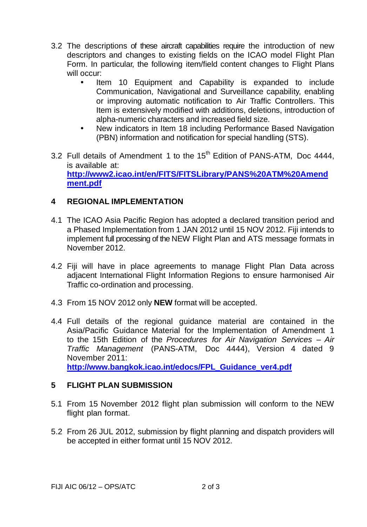- 3.2 The descriptions of these aircraft capabilities require the introduction of new descriptors and changes to existing fields on the ICAO model Flight Plan Form. In particular, the following item/field content changes to Flight Plans will occur:
	- Item 10 Equipment and Capability is expanded to include Communication, Navigational and Surveillance capability, enabling or improving automatic notification to Air Traffic Controllers. This Item is extensively modified with additions, deletions, introduction of alpha-numeric characters and increased field size.
	- New indicators in Item 18 including Performance Based Navigation (PBN) information and notification for special handling (STS).
- 3.2 Full details of Amendment 1 to the  $15<sup>th</sup>$  Edition of PANS-ATM, Doc 4444, is available at: **[http://www2.icao.int/en/FITS/FITSLibrary/PANS%20ATM%20Amend](http://www2.icao.int/en/FITS/FITSLibrary/PANS%20ATM%20Amendment.pdf) [ment.pdf](http://www2.icao.int/en/FITS/FITSLibrary/PANS%20ATM%20Amendment.pdf)**

#### **4 REGIONAL IMPLEMENTATION**

- 4.1 The ICAO Asia Pacific Region has adopted a declared transition period and a Phased Implementation from 1 JAN 2012 until 15 NOV 2012. Fiji intends to implement full processing of the NEW Flight Plan and ATS message formats in November 2012.
- 4.2 Fiji will have in place agreements to manage Flight Plan Data across adjacent International Flight Information Regions to ensure harmonised Air Traffic co-ordination and processing.
- 4.3 From 15 NOV 2012 only **NEW** format will be accepted.
- 4.4 Full details of the regional guidance material are contained in the Asia/Pacific Guidance Material for the Implementation of Amendment 1 to the 15th Edition of the *Procedures for Air Navigation Services – Air Traffic Management* (PANS-ATM, Doc 4444), Version 4 dated 9 November 2011: **[http://www.bangkok.icao.int/edocs/FPL\\_Guidance\\_ver4.pdf](http://www.bangkok.icao.int/edocs/FPL_Guidance_ver4.pdf)**

#### **5 FLIGHT PLAN SUBMISSION**

- 5.1 From 15 November 2012 flight plan submission will conform to the NEW flight plan format.
- 5.2 From 26 JUL 2012, submission by flight planning and dispatch providers will be accepted in either format until 15 NOV 2012.